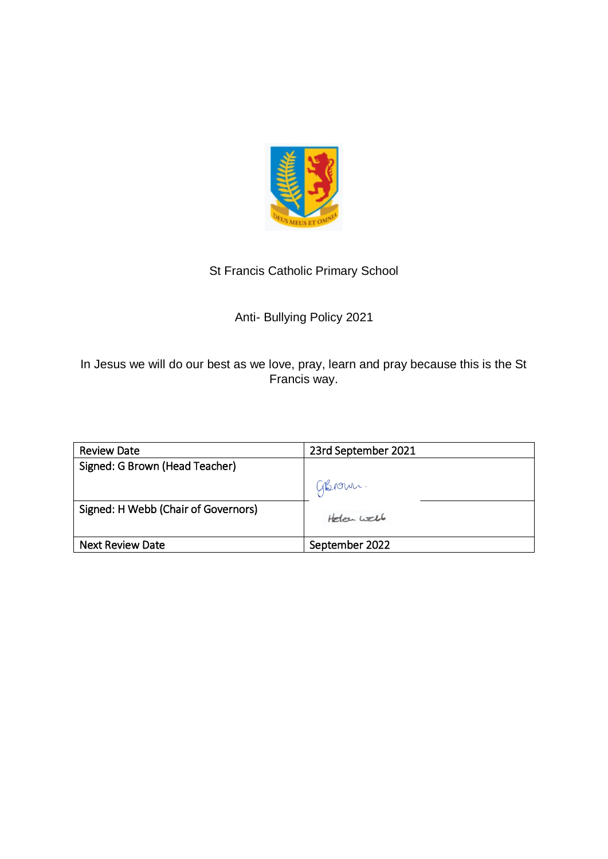

# St Francis Catholic Primary School

# Anti- Bullying Policy 2021

In Jesus we will do our best as we love, pray, learn and pray because this is the St Francis way.

| <b>Review Date</b>                  | 23rd September 2021 |
|-------------------------------------|---------------------|
| Signed: G Brown (Head Teacher)      |                     |
|                                     | GBrown.             |
| Signed: H Webb (Chair of Governors) | Holan Well          |
| <b>Next Review Date</b>             | September 2022      |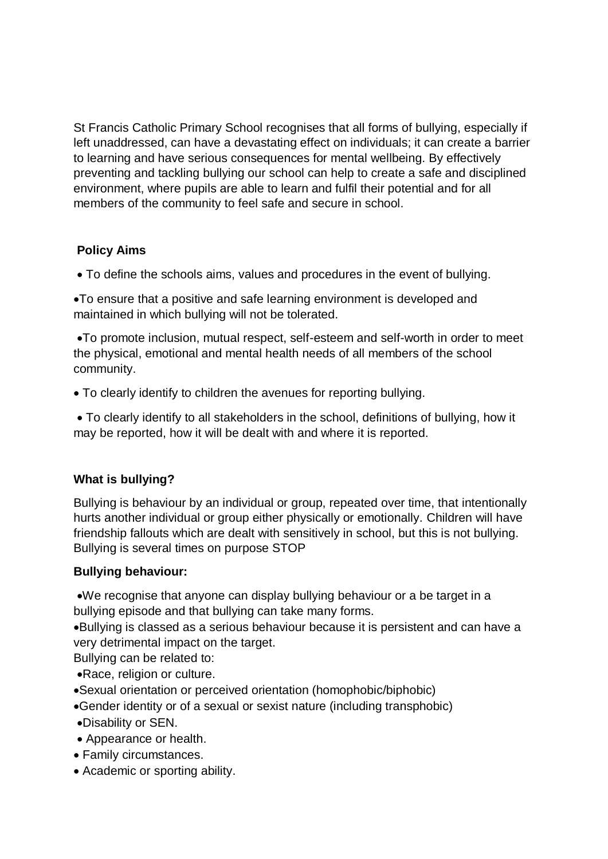St Francis Catholic Primary School recognises that all forms of bullying, especially if left unaddressed, can have a devastating effect on individuals; it can create a barrier to learning and have serious consequences for mental wellbeing. By effectively preventing and tackling bullying our school can help to create a safe and disciplined environment, where pupils are able to learn and fulfil their potential and for all members of the community to feel safe and secure in school.

# **Policy Aims**

• To define the schools aims, values and procedures in the event of bullying.

•To ensure that a positive and safe learning environment is developed and maintained in which bullying will not be tolerated.

•To promote inclusion, mutual respect, self-esteem and self-worth in order to meet the physical, emotional and mental health needs of all members of the school community.

• To clearly identify to children the avenues for reporting bullying.

• To clearly identify to all stakeholders in the school, definitions of bullying, how it may be reported, how it will be dealt with and where it is reported.

## **What is bullying?**

Bullying is behaviour by an individual or group, repeated over time, that intentionally hurts another individual or group either physically or emotionally. Children will have friendship fallouts which are dealt with sensitively in school, but this is not bullying. Bullying is several times on purpose STOP

## **Bullying behaviour:**

•We recognise that anyone can display bullying behaviour or a be target in a bullying episode and that bullying can take many forms.

•Bullying is classed as a serious behaviour because it is persistent and can have a very detrimental impact on the target.

Bullying can be related to:

•Race, religion or culture.

- •Sexual orientation or perceived orientation (homophobic/biphobic)
- •Gender identity or of a sexual or sexist nature (including transphobic)
- •Disability or SEN.
- Appearance or health.
- Family circumstances.
- Academic or sporting ability.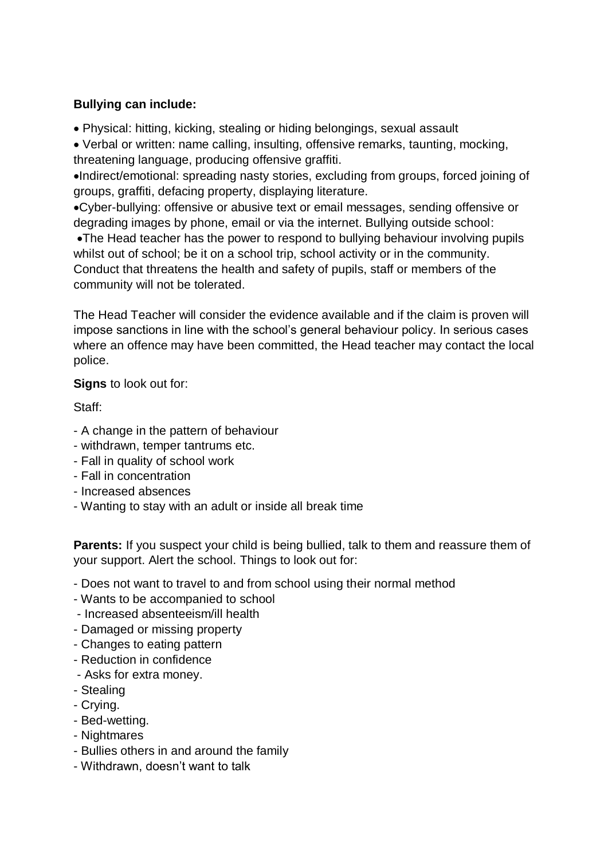### **Bullying can include:**

• Physical: hitting, kicking, stealing or hiding belongings, sexual assault

• Verbal or written: name calling, insulting, offensive remarks, taunting, mocking, threatening language, producing offensive graffiti.

•Indirect/emotional: spreading nasty stories, excluding from groups, forced joining of groups, graffiti, defacing property, displaying literature.

•Cyber-bullying: offensive or abusive text or email messages, sending offensive or degrading images by phone, email or via the internet. Bullying outside school:

•The Head teacher has the power to respond to bullying behaviour involving pupils whilst out of school; be it on a school trip, school activity or in the community. Conduct that threatens the health and safety of pupils, staff or members of the community will not be tolerated.

The Head Teacher will consider the evidence available and if the claim is proven will impose sanctions in line with the school's general behaviour policy. In serious cases where an offence may have been committed, the Head teacher may contact the local police.

**Signs** to look out for:

Staff:

- A change in the pattern of behaviour
- withdrawn, temper tantrums etc.
- Fall in quality of school work
- Fall in concentration
- Increased absences
- Wanting to stay with an adult or inside all break time

**Parents:** If you suspect your child is being bullied, talk to them and reassure them of your support. Alert the school. Things to look out for:

- Does not want to travel to and from school using their normal method
- Wants to be accompanied to school
- Increased absenteeism/ill health
- Damaged or missing property
- Changes to eating pattern
- Reduction in confidence
- Asks for extra money.
- Stealing
- Crying.
- Bed-wetting.
- Nightmares
- Bullies others in and around the family
- Withdrawn, doesn't want to talk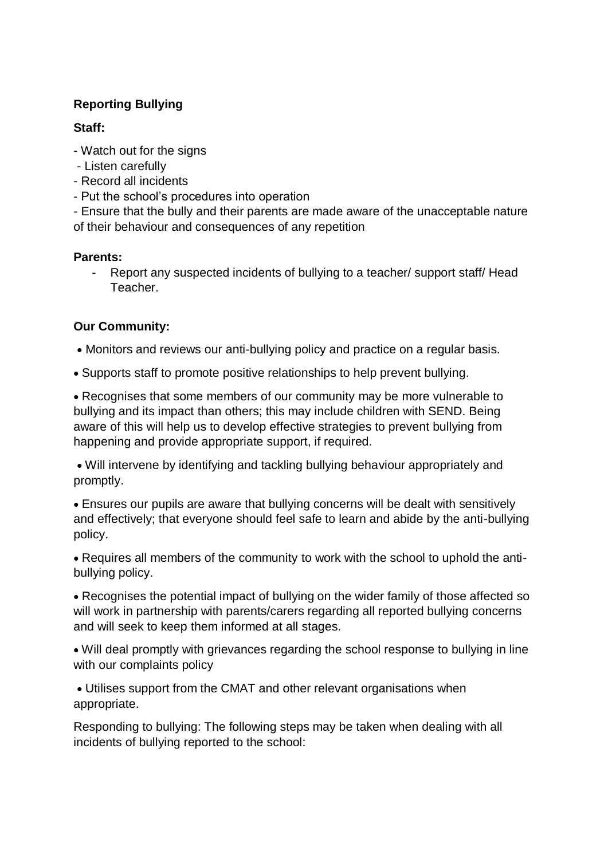#### **Reporting Bullying**

#### **Staff:**

- Watch out for the signs
- Listen carefully
- Record all incidents
- Put the school's procedures into operation

- Ensure that the bully and their parents are made aware of the unacceptable nature of their behaviour and consequences of any repetition

### **Parents:**

- Report any suspected incidents of bullying to a teacher/ support staff/ Head Teacher.

### **Our Community:**

• Monitors and reviews our anti-bullying policy and practice on a regular basis.

• Supports staff to promote positive relationships to help prevent bullying.

• Recognises that some members of our community may be more vulnerable to bullying and its impact than others; this may include children with SEND. Being aware of this will help us to develop effective strategies to prevent bullying from happening and provide appropriate support, if required.

• Will intervene by identifying and tackling bullying behaviour appropriately and promptly.

• Ensures our pupils are aware that bullying concerns will be dealt with sensitively and effectively; that everyone should feel safe to learn and abide by the anti-bullying policy.

• Requires all members of the community to work with the school to uphold the antibullying policy.

• Recognises the potential impact of bullying on the wider family of those affected so will work in partnership with parents/carers regarding all reported bullying concerns and will seek to keep them informed at all stages.

• Will deal promptly with grievances regarding the school response to bullying in line with our complaints policy

• Utilises support from the CMAT and other relevant organisations when appropriate.

Responding to bullying: The following steps may be taken when dealing with all incidents of bullying reported to the school: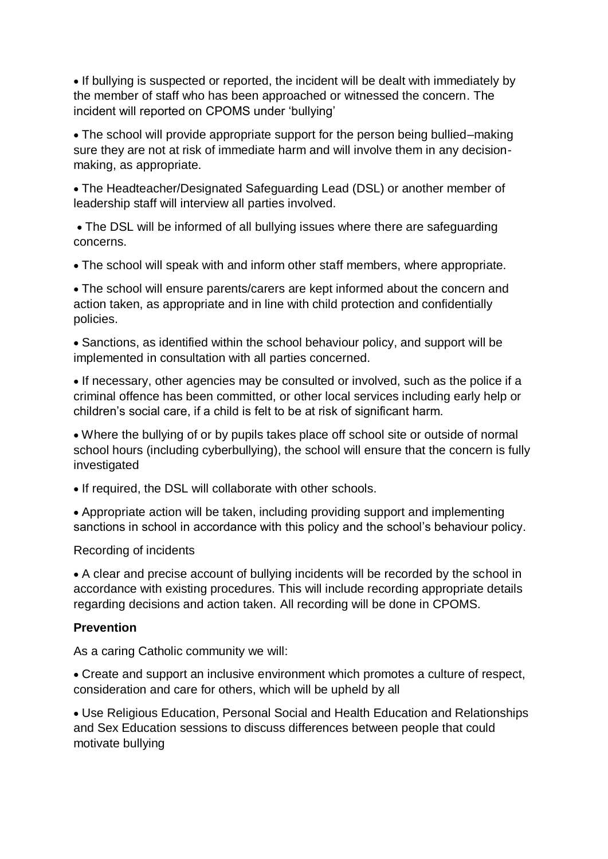• If bullying is suspected or reported, the incident will be dealt with immediately by the member of staff who has been approached or witnessed the concern. The incident will reported on CPOMS under 'bullying'

• The school will provide appropriate support for the person being bullied–making sure they are not at risk of immediate harm and will involve them in any decisionmaking, as appropriate.

• The Headteacher/Designated Safeguarding Lead (DSL) or another member of leadership staff will interview all parties involved.

• The DSL will be informed of all bullying issues where there are safeguarding concerns.

• The school will speak with and inform other staff members, where appropriate.

• The school will ensure parents/carers are kept informed about the concern and action taken, as appropriate and in line with child protection and confidentially policies.

• Sanctions, as identified within the school behaviour policy, and support will be implemented in consultation with all parties concerned.

• If necessary, other agencies may be consulted or involved, such as the police if a criminal offence has been committed, or other local services including early help or children's social care, if a child is felt to be at risk of significant harm.

• Where the bullying of or by pupils takes place off school site or outside of normal school hours (including cyberbullying), the school will ensure that the concern is fully investigated

• If required, the DSL will collaborate with other schools.

• Appropriate action will be taken, including providing support and implementing sanctions in school in accordance with this policy and the school's behaviour policy.

Recording of incidents

• A clear and precise account of bullying incidents will be recorded by the school in accordance with existing procedures. This will include recording appropriate details regarding decisions and action taken. All recording will be done in CPOMS.

#### **Prevention**

As a caring Catholic community we will:

• Create and support an inclusive environment which promotes a culture of respect, consideration and care for others, which will be upheld by all

• Use Religious Education, Personal Social and Health Education and Relationships and Sex Education sessions to discuss differences between people that could motivate bullying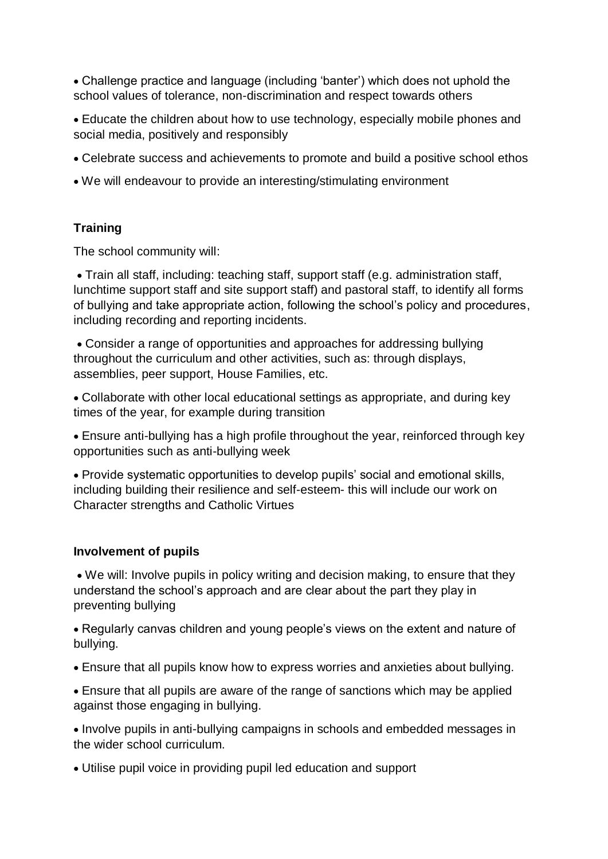• Challenge practice and language (including 'banter') which does not uphold the school values of tolerance, non-discrimination and respect towards others

• Educate the children about how to use technology, especially mobile phones and social media, positively and responsibly

- Celebrate success and achievements to promote and build a positive school ethos
- We will endeavour to provide an interesting/stimulating environment

### **Training**

The school community will:

• Train all staff, including: teaching staff, support staff (e.g. administration staff, lunchtime support staff and site support staff) and pastoral staff, to identify all forms of bullying and take appropriate action, following the school's policy and procedures, including recording and reporting incidents.

• Consider a range of opportunities and approaches for addressing bullying throughout the curriculum and other activities, such as: through displays, assemblies, peer support, House Families, etc.

• Collaborate with other local educational settings as appropriate, and during key times of the year, for example during transition

• Ensure anti-bullying has a high profile throughout the year, reinforced through key opportunities such as anti-bullying week

• Provide systematic opportunities to develop pupils' social and emotional skills, including building their resilience and self-esteem- this will include our work on Character strengths and Catholic Virtues

#### **Involvement of pupils**

• We will: Involve pupils in policy writing and decision making, to ensure that they understand the school's approach and are clear about the part they play in preventing bullying

• Regularly canvas children and young people's views on the extent and nature of bullying.

• Ensure that all pupils know how to express worries and anxieties about bullying.

• Ensure that all pupils are aware of the range of sanctions which may be applied against those engaging in bullying.

• Involve pupils in anti-bullying campaigns in schools and embedded messages in the wider school curriculum.

• Utilise pupil voice in providing pupil led education and support